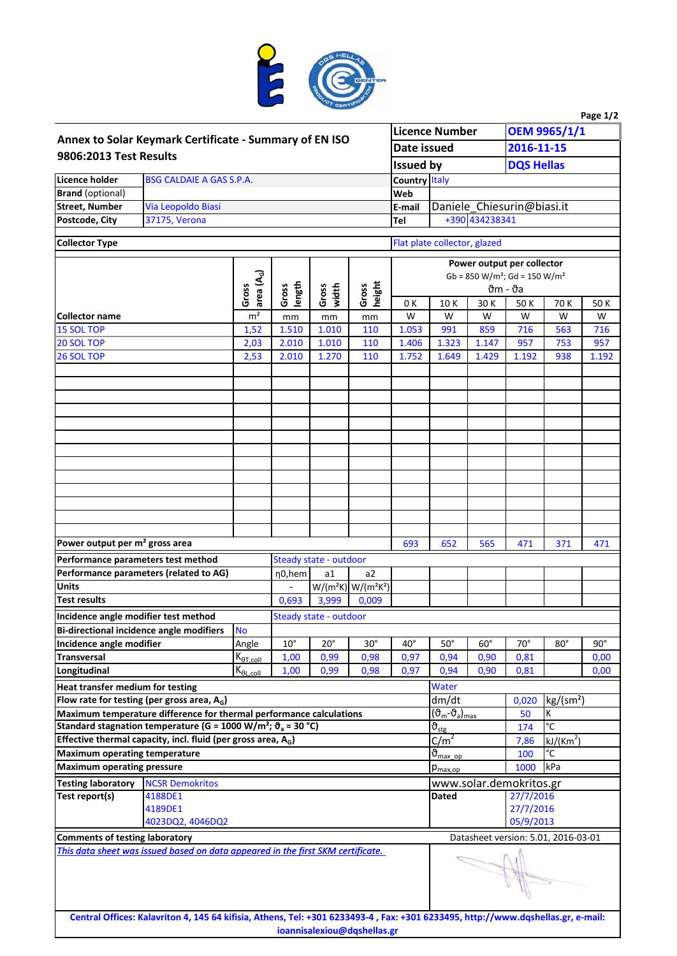

|                                                                                                                                                                       |                                                                                                                                 |                      |                           |                        |                                                                 |                                                                      |                                                                |                            |                   |                                           | Page 1/2     |  |
|-----------------------------------------------------------------------------------------------------------------------------------------------------------------------|---------------------------------------------------------------------------------------------------------------------------------|----------------------|---------------------------|------------------------|-----------------------------------------------------------------|----------------------------------------------------------------------|----------------------------------------------------------------|----------------------------|-------------------|-------------------------------------------|--------------|--|
| Annex to Solar Keymark Certificate - Summary of EN ISO<br>9806:2013 Test Results                                                                                      |                                                                                                                                 |                      |                           |                        |                                                                 |                                                                      | <b>Licence Number</b>                                          |                            | OEM 9965/1/1      |                                           |              |  |
|                                                                                                                                                                       |                                                                                                                                 |                      |                           |                        |                                                                 |                                                                      | Date issued                                                    |                            | 2016-11-15        |                                           |              |  |
|                                                                                                                                                                       |                                                                                                                                 |                      |                           |                        |                                                                 | <b>Issued by</b>                                                     |                                                                |                            | <b>DQS Hellas</b> |                                           |              |  |
| Licence holder                                                                                                                                                        | <b>BSG CALDAIE A GAS S.P.A.</b>                                                                                                 |                      | <b>Country Italy</b>      |                        |                                                                 |                                                                      |                                                                |                            |                   |                                           |              |  |
| <b>Brand</b> (optional)                                                                                                                                               |                                                                                                                                 |                      | Web                       |                        |                                                                 |                                                                      |                                                                |                            |                   |                                           |              |  |
| <b>Street, Number</b>                                                                                                                                                 | Via Leopoldo Biasi                                                                                                              |                      |                           |                        |                                                                 | E-mail<br>Tel                                                        |                                                                | Daniele_Chiesurin@biasi.it |                   |                                           |              |  |
| Postcode, City                                                                                                                                                        | 37175, Verona                                                                                                                   |                      |                           |                        |                                                                 |                                                                      |                                                                | +390 434238341             |                   |                                           |              |  |
| <b>Collector Type</b>                                                                                                                                                 |                                                                                                                                 |                      |                           |                        |                                                                 |                                                                      | Flat plate collector, glazed                                   |                            |                   |                                           |              |  |
|                                                                                                                                                                       |                                                                                                                                 |                      |                           |                        |                                                                 |                                                                      |                                                                |                            |                   |                                           |              |  |
|                                                                                                                                                                       |                                                                                                                                 |                      |                           |                        | Power output per collector                                      |                                                                      |                                                                |                            |                   |                                           |              |  |
|                                                                                                                                                                       | area (A <sub>G</sub> )                                                                                                          |                      |                           |                        |                                                                 | $Gb = 850 W/m^2$ ; $Gd = 150 W/m^2$<br>$\vartheta$ m - $\vartheta$ a |                                                                |                            |                   |                                           |              |  |
|                                                                                                                                                                       |                                                                                                                                 | Gross                | length<br>Gross           | Gross<br>width         | height<br>Gross                                                 | 0K                                                                   | 10K                                                            | 30K                        | 50K               | 70K                                       | 50 K         |  |
| <b>Collector name</b>                                                                                                                                                 |                                                                                                                                 | m <sup>2</sup>       | mm                        | mm                     | mm                                                              | W                                                                    | W                                                              | W                          | W                 | W                                         | W            |  |
| <b>15 SOL TOP</b>                                                                                                                                                     |                                                                                                                                 | 1,52                 | 1.510                     | 1.010                  | 110                                                             | 1.053                                                                | 991                                                            | 859                        | 716               | 563                                       | 716          |  |
| 20 SOL TOP                                                                                                                                                            |                                                                                                                                 | 2,03                 | 2.010                     | 1.010                  | 110                                                             | 1.406                                                                | 1.323                                                          | 1.147                      | 957               | 753                                       | 957          |  |
| 26 SOL TOP                                                                                                                                                            |                                                                                                                                 | 2,53                 | 2.010                     | 1.270                  | 110                                                             | 1.752                                                                | 1.649                                                          | 1.429                      | 1.192             | 938                                       | 1.192        |  |
|                                                                                                                                                                       |                                                                                                                                 |                      |                           |                        |                                                                 |                                                                      |                                                                |                            |                   |                                           |              |  |
|                                                                                                                                                                       |                                                                                                                                 |                      |                           |                        |                                                                 |                                                                      |                                                                |                            |                   |                                           |              |  |
|                                                                                                                                                                       |                                                                                                                                 |                      |                           |                        |                                                                 |                                                                      |                                                                |                            |                   |                                           |              |  |
|                                                                                                                                                                       |                                                                                                                                 |                      |                           |                        |                                                                 |                                                                      |                                                                |                            |                   |                                           |              |  |
|                                                                                                                                                                       |                                                                                                                                 |                      |                           |                        |                                                                 |                                                                      |                                                                |                            |                   |                                           |              |  |
|                                                                                                                                                                       |                                                                                                                                 |                      |                           |                        |                                                                 |                                                                      |                                                                |                            |                   |                                           |              |  |
|                                                                                                                                                                       |                                                                                                                                 |                      |                           |                        |                                                                 |                                                                      |                                                                |                            |                   |                                           |              |  |
|                                                                                                                                                                       |                                                                                                                                 |                      |                           |                        |                                                                 |                                                                      |                                                                |                            |                   |                                           |              |  |
|                                                                                                                                                                       |                                                                                                                                 |                      |                           |                        |                                                                 |                                                                      |                                                                |                            |                   |                                           |              |  |
|                                                                                                                                                                       |                                                                                                                                 |                      |                           |                        |                                                                 |                                                                      |                                                                |                            |                   |                                           |              |  |
|                                                                                                                                                                       |                                                                                                                                 |                      |                           |                        |                                                                 |                                                                      |                                                                |                            |                   |                                           |              |  |
|                                                                                                                                                                       |                                                                                                                                 |                      |                           |                        |                                                                 |                                                                      |                                                                |                            |                   |                                           |              |  |
|                                                                                                                                                                       |                                                                                                                                 |                      |                           |                        |                                                                 |                                                                      |                                                                |                            |                   |                                           |              |  |
| Power output per m <sup>2</sup> gross area                                                                                                                            |                                                                                                                                 |                      |                           |                        |                                                                 | 693                                                                  | 652                                                            | 565                        | 471               | 371                                       | 471          |  |
| Performance parameters test method                                                                                                                                    |                                                                                                                                 |                      |                           | Steady state - outdoor |                                                                 |                                                                      |                                                                |                            |                   |                                           |              |  |
| <b>Units</b>                                                                                                                                                          | Performance parameters (related to AG)                                                                                          |                      | $\eta$ <sub>0</sub> , hem | a1                     | a <sub>2</sub><br>$W/(m^2K)$ W/(m <sup>2</sup> K <sup>2</sup> ) |                                                                      |                                                                |                            |                   |                                           |              |  |
| <b>Test results</b>                                                                                                                                                   |                                                                                                                                 |                      |                           |                        |                                                                 |                                                                      |                                                                |                            |                   |                                           |              |  |
|                                                                                                                                                                       |                                                                                                                                 |                      | 0,693                     | 3,999                  | 0,009                                                           |                                                                      |                                                                |                            |                   |                                           |              |  |
| Incidence angle modifier test method                                                                                                                                  |                                                                                                                                 |                      |                           | Steady state - outdoor |                                                                 |                                                                      |                                                                |                            |                   |                                           |              |  |
|                                                                                                                                                                       | <b>Bi-directional incidence angle modifiers</b>                                                                                 | <b>No</b>            |                           |                        |                                                                 |                                                                      |                                                                |                            |                   |                                           | $90^{\circ}$ |  |
| Incidence angle modifier<br><b>Transversal</b>                                                                                                                        |                                                                                                                                 | Angle                | $10^{\circ}$              | $20^{\circ}$<br>0,99   | $30^\circ$                                                      | $40^{\circ}$<br>0,97                                                 | $50^\circ$                                                     | $60^\circ$                 | $70^{\circ}$      | $80^\circ$                                |              |  |
| Longitudinal                                                                                                                                                          |                                                                                                                                 | $K_{\theta T, coll}$ | 1,00<br>1,00              | 0,99                   | 0,98<br>0,98                                                    | 0,97                                                                 | 0,94<br>0,94                                                   | 0,90<br>0,90               | 0,81<br>0,81      |                                           | 0,00<br>0,00 |  |
|                                                                                                                                                                       |                                                                                                                                 | $K_{\theta L, coll}$ |                           |                        |                                                                 |                                                                      |                                                                |                            |                   |                                           |              |  |
| Heat transfer medium for testing                                                                                                                                      |                                                                                                                                 |                      |                           |                        |                                                                 |                                                                      | Water                                                          |                            |                   |                                           |              |  |
| Flow rate for testing (per gross area, $A_G$ )                                                                                                                        |                                                                                                                                 |                      |                           |                        |                                                                 |                                                                      | dm/dt<br>$(\vartheta_{\rm m}$ - $\vartheta_{\rm a})_{\rm max}$ |                            |                   | kg/(sm <sup>2</sup> )<br>0,020<br>к<br>50 |              |  |
| Maximum temperature difference for thermal performance calculations<br>Standard stagnation temperature (G = 1000 W/m <sup>2</sup> ; $\vartheta$ <sub>a</sub> = 30 °C) |                                                                                                                                 |                      |                           |                        |                                                                 |                                                                      | $\vartheta_{\underline{stg}}$                                  |                            |                   | $\overline{c}$<br>174                     |              |  |
| Effective thermal capacity, incl. fluid (per gross area, $A_G$ )                                                                                                      |                                                                                                                                 |                      |                           |                        |                                                                 |                                                                      | C/m <sup>2</sup>                                               |                            |                   | kJ/(Km <sup>2</sup> )<br>7,86             |              |  |
| <b>Maximum operating temperature</b>                                                                                                                                  |                                                                                                                                 |                      |                           |                        |                                                                 |                                                                      | $\vartheta_{\text{max op}}$                                    |                            |                   | °C<br>100                                 |              |  |
| <b>Maximum operating pressure</b>                                                                                                                                     |                                                                                                                                 |                      |                           |                        |                                                                 |                                                                      | kPa<br>1000<br>$p_{\text{max,op}}$                             |                            |                   |                                           |              |  |
| <b>NCSR Demokritos</b><br><b>Testing laboratory</b>                                                                                                                   |                                                                                                                                 |                      |                           |                        |                                                                 |                                                                      | www.solar.demokritos.gr                                        |                            |                   |                                           |              |  |
| Test report(s)<br>4188DE1                                                                                                                                             |                                                                                                                                 |                      |                           |                        |                                                                 |                                                                      | 27/7/2016<br>Dated                                             |                            |                   |                                           |              |  |
| 4189DE1                                                                                                                                                               |                                                                                                                                 |                      |                           |                        |                                                                 |                                                                      | 27/7/2016                                                      |                            |                   |                                           |              |  |
|                                                                                                                                                                       | 4023DQ2, 4046DQ2                                                                                                                |                      |                           |                        |                                                                 |                                                                      |                                                                |                            | 05/9/2013         |                                           |              |  |
| <b>Comments of testing laboratory</b>                                                                                                                                 |                                                                                                                                 |                      |                           |                        |                                                                 |                                                                      | Datasheet version: 5.01, 2016-03-01                            |                            |                   |                                           |              |  |
|                                                                                                                                                                       | This data sheet was issued based on data appeared in the first SKM certificate.                                                 |                      |                           |                        |                                                                 |                                                                      |                                                                |                            |                   |                                           |              |  |
|                                                                                                                                                                       |                                                                                                                                 |                      |                           |                        |                                                                 |                                                                      |                                                                |                            |                   |                                           |              |  |
|                                                                                                                                                                       |                                                                                                                                 |                      |                           |                        |                                                                 |                                                                      |                                                                |                            |                   |                                           |              |  |
|                                                                                                                                                                       | Central Offices: Kalavriton 4, 145 64 kifisia, Athens, Tel: +301 6233493-4, Fax: +301 6233495, http://www.dqshellas.gr, e-mail: |                      |                           |                        | ioannisalexiou@dqshellas.gr                                     |                                                                      |                                                                |                            |                   |                                           |              |  |